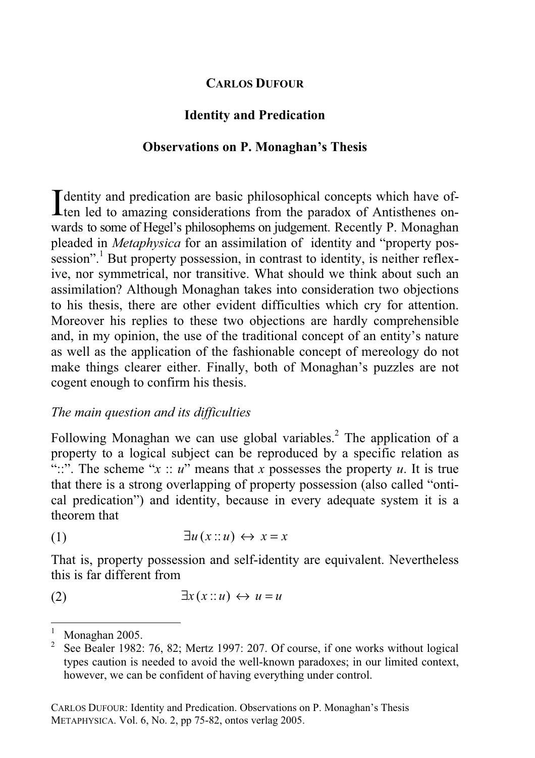# **CARLOS DUFOUR**

# **Identity and Predication**

### **Observations on P. Monaghan's Thesis**

I dentity and predication are basic philosophical concepts which have of-<br>ten led to amazing considerations from the paradox of Antisthenes on-**L** ten led to amazing considerations from the paradox of Antisthenes onwards to some of Hegel's philosophems on judgement. Recently P. Monaghan pleaded in *Metaphysica* for an assimilation of identity and "property possession".<sup>1</sup> But property possession, in contrast to identity, is neither reflexive, nor symmetrical, nor transitive. What should we think about such an assimilation? Although Monaghan takes into consideration two objections to his thesis, there are other evident difficulties which cry for attention. Moreover his replies to these two objections are hardly comprehensible and, in my opinion, the use of the traditional concept of an entity's nature as well as the application of the fashionable concept of mereology do not make things clearer either. Finally, both of Monaghan's puzzles are not cogent enough to confirm his thesis.

## *The main question and its difficulties*

Following Monaghan we can use global variables.<sup>2</sup> The application of a property to a logical subject can be reproduced by a specific relation as "::". The scheme " $x :: u$ " means that *x* possesses the property *u*. It is true that there is a strong overlapping of property possession (also called "ontical predication") and identity, because in every adequate system it is a theorem that

$$
(1) \qquad \qquad \exists u \, (x \, \text{::}\, u) \leftrightarrow x = x
$$

That is, property possession and self-identity are equivalent. Nevertheless this is far different from

$$
\exists x (x::u) \leftrightarrow u = u
$$

<sup>1</sup> Monaghan 2005.

<sup>&</sup>lt;sup>2</sup> See Bealer 1982: 76, 82; Mertz 1997: 207. Of course, if one works without logical types caution is needed to avoid the well-known paradoxes; in our limited context, however, we can be confident of having everything under control.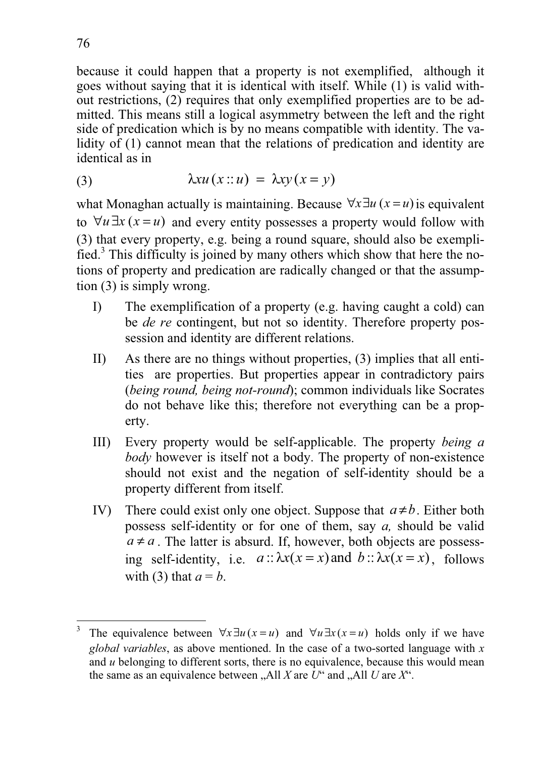because it could happen that a property is not exemplified, although it goes without saying that it is identical with itself. While (1) is valid without restrictions, (2) requires that only exemplified properties are to be admitted. This means still a logical asymmetry between the left and the right side of predication which is by no means compatible with identity. The validity of (1) cannot mean that the relations of predication and identity are identical as in

(3) 
$$
\lambda x u(x : u) = \lambda x y(x = y)
$$

what Monaghan actually is maintaining. Because  $\forall x \exists u (x = u)$  is equivalent to  $\forall u \exists x (x = u)$  and every entity possesses a property would follow with (3) that every property, e.g. being a round square, should also be exemplified.<sup>3</sup> This difficulty is joined by many others which show that here the notions of property and predication are radically changed or that the assumption (3) is simply wrong.

- I) The exemplification of a property (e.g. having caught a cold) can be *de re* contingent, but not so identity. Therefore property possession and identity are different relations.
- II) As there are no things without properties, (3) implies that all entities are properties. But properties appear in contradictory pairs (*being round, being not-round*); common individuals like Socrates do not behave like this; therefore not everything can be a property.
- III) Every property would be self-applicable. The property *being a body* however is itself not a body. The property of non-existence should not exist and the negation of self-identity should be a property different from itself.
- IV) There could exist only one object. Suppose that  $a \neq b$ . Either both possess self-identity or for one of them, say *a,* should be valid  $a \neq a$ . The latter is absurd. If, however, both objects are possessing self-identity, i.e.  $a$ ::  $\lambda x(x = x)$  and  $b$ ::  $\lambda x(x = x)$ , follows with (3) that  $a = b$ .

<sup>3</sup> The equivalence between  $\forall x \exists u (x = u)$  and  $\forall u \exists x (x = u)$  holds only if we have *global variables*, as above mentioned. In the case of a two-sorted language with *x* and *u* belonging to different sorts, there is no equivalence, because this would mean the same as an equivalence between  $\Lambda$ , All *X* are *U*<sup>\*</sup> and  $\Lambda$ , All *U* are *X*<sup>\*</sup>.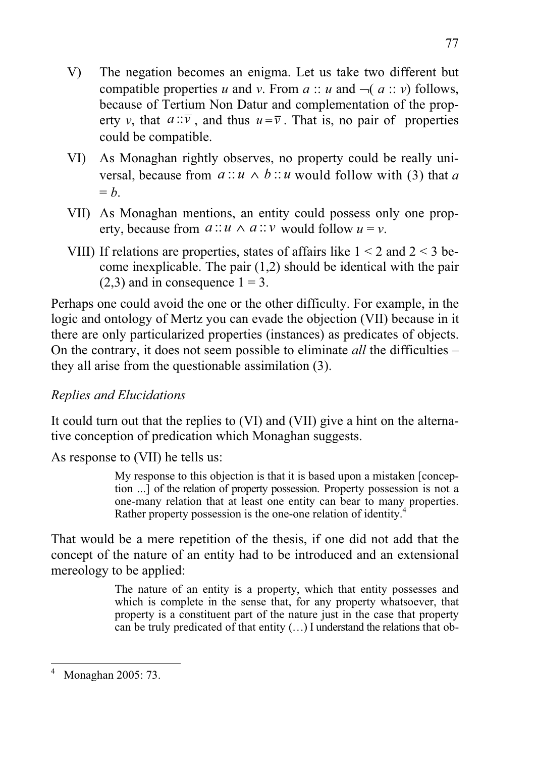- V) The negation becomes an enigma. Let us take two different but compatible properties *u* and *v*. From  $a :: u$  and  $\neg (a :: v)$  follows, because of Tertium Non Datur and complementation of the property *v*, that  $a::\overline{v}$ , and thus  $u=\overline{v}$ . That is, no pair of properties could be compatible.
- VI) As Monaghan rightly observes, no property could be really universal, because from  $a:: u \wedge b:: u$  would follow with (3) that *a*  $= h$ .
- VII) As Monaghan mentions, an entity could possess only one property, because from  $a:: u \wedge a:: v$  would follow  $u = v$ .
- VIII) If relations are properties, states of affairs like  $1 < 2$  and  $2 < 3$  become inexplicable. The pair (1,2) should be identical with the pair  $(2,3)$  and in consequence  $1 = 3$ .

Perhaps one could avoid the one or the other difficulty. For example, in the logic and ontology of Mertz you can evade the objection (VII) because in it there are only particularized properties (instances) as predicates of objects. On the contrary, it does not seem possible to eliminate *all* the difficulties – they all arise from the questionable assimilation (3).

# *Replies and Elucidations*

It could turn out that the replies to (VI) and (VII) give a hint on the alternative conception of predication which Monaghan suggests.

As response to (VII) he tells us:

My response to this objection is that it is based upon a mistaken [conception ...] of the relation of property possession. Property possession is not a one-many relation that at least one entity can bear to many properties. Rather property possession is the one-one relation of identity.

That would be a mere repetition of the thesis, if one did not add that the concept of the nature of an entity had to be introduced and an extensional mereology to be applied:

> The nature of an entity is a property, which that entity possesses and which is complete in the sense that, for any property whatsoever, that property is a constituent part of the nature just in the case that property can be truly predicated of that entity (…) I understand the relations that ob-

<sup>4</sup> Monaghan 2005: 73.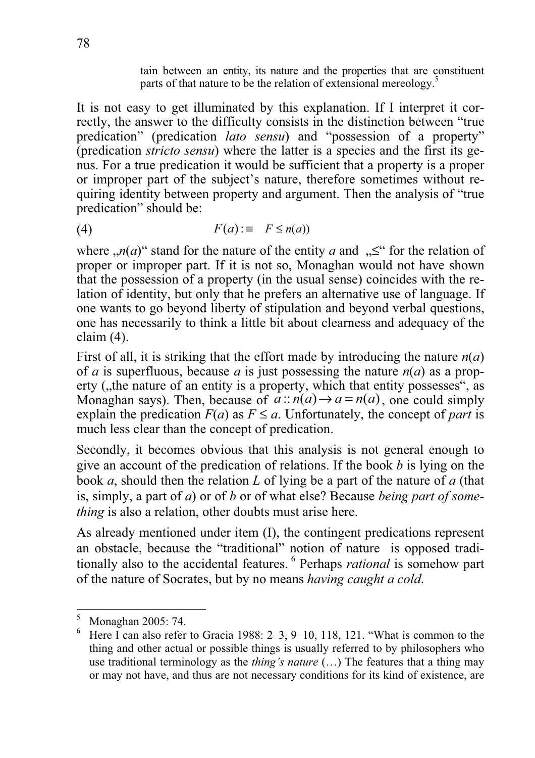tain between an entity, its nature and the properties that are constituent parts of that nature to be the relation of extensional mereology.<sup>5</sup>

It is not easy to get illuminated by this explanation. If I interpret it correctly, the answer to the difficulty consists in the distinction between "true predication" (predication *lato sensu*) and "possession of a property" (predication *stricto sensu*) where the latter is a species and the first its genus. For a true predication it would be sufficient that a property is a proper or improper part of the subject's nature, therefore sometimes without requiring identity between property and argument. Then the analysis of "true predication" should be:

$$
(4) \quad F(a) := F \leq n(a)
$$

where  $,n(a)$ " stand for the nature of the entity *a* and  $n \leq$ " for the relation of proper or improper part. If it is not so, Monaghan would not have shown that the possession of a property (in the usual sense) coincides with the relation of identity, but only that he prefers an alternative use of language. If one wants to go beyond liberty of stipulation and beyond verbal questions, one has necessarily to think a little bit about clearness and adequacy of the claim (4).

First of all, it is striking that the effort made by introducing the nature *n*(*a*) of *a* is superfluous, because *a* is just possessing the nature  $n(a)$  as a property (, the nature of an entity is a property, which that entity possesses", as Monaghan says). Then, because of  $\overline{a}$ :  $\overline{n}(a) \rightarrow a = n(a)$ , one could simply explain the predication  $F(a)$  as  $F \le a$ . Unfortunately, the concept of *part* is much less clear than the concept of predication.

Secondly, it becomes obvious that this analysis is not general enough to give an account of the predication of relations. If the book *b* is lying on the book *a*, should then the relation *L* of lying be a part of the nature of *a* (that is, simply, a part of *a*) or of *b* or of what else? Because *being part of something* is also a relation, other doubts must arise here.

As already mentioned under item (I), the contingent predications represent an obstacle, because the "traditional" notion of nature is opposed traditionally also to the accidental features. 6 Perhaps *rational* is somehow part of the nature of Socrates, but by no means *having caught a cold*.

<sup>5</sup> Monaghan 2005: 74.

<sup>6</sup> Here I can also refer to Gracia 1988: 2–3, 9–10, 118, 121. "What is common to the thing and other actual or possible things is usually referred to by philosophers who use traditional terminology as the *thing's nature* (…) The features that a thing may or may not have, and thus are not necessary conditions for its kind of existence, are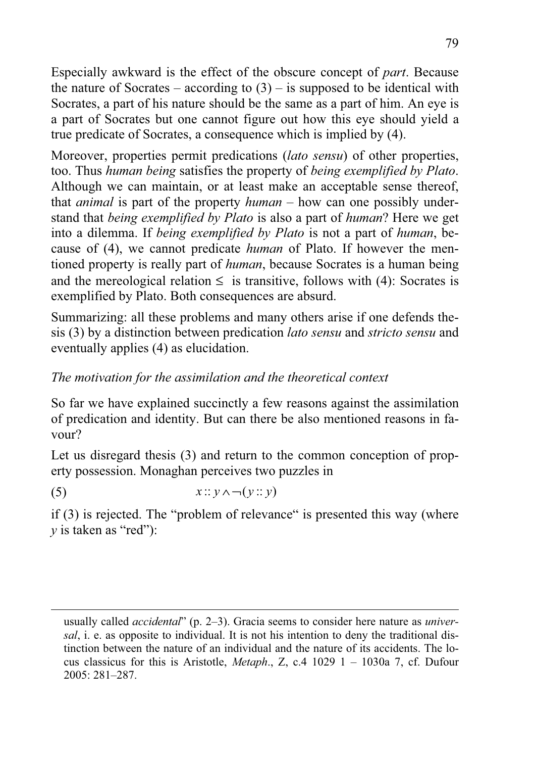Especially awkward is the effect of the obscure concept of *part*. Because the nature of Socrates – according to  $(3)$  – is supposed to be identical with Socrates, a part of his nature should be the same as a part of him. An eye is a part of Socrates but one cannot figure out how this eye should yield a true predicate of Socrates, a consequence which is implied by (4).

Moreover, properties permit predications (*lato sensu*) of other properties, too. Thus *human being* satisfies the property of *being exemplified by Plato*. Although we can maintain, or at least make an acceptable sense thereof, that *animal* is part of the property *human* – how can one possibly understand that *being exemplified by Plato* is also a part of *human*? Here we get into a dilemma. If *being exemplified by Plato* is not a part of *human*, because of (4), we cannot predicate *human* of Plato. If however the mentioned property is really part of *human*, because Socrates is a human being and the mereological relation  $\leq$  is transitive, follows with (4): Socrates is exemplified by Plato. Both consequences are absurd.

Summarizing: all these problems and many others arise if one defends thesis (3) by a distinction between predication *lato sensu* and *stricto sensu* and eventually applies (4) as elucidation.

## *The motivation for the assimilation and the theoretical context*

So far we have explained succinctly a few reasons against the assimilation of predication and identity. But can there be also mentioned reasons in favour?

Let us disregard thesis (3) and return to the common conception of property possession. Monaghan perceives two puzzles in

(5)  $x:: y \wedge \neg(y:: y)$ 

if (3) is rejected. The "problem of relevance" is presented this way (where *y* is taken as "red"):

usually called *accidental*" (p. 2–3). Gracia seems to consider here nature as *universal*, i. e. as opposite to individual. It is not his intention to deny the traditional distinction between the nature of an individual and the nature of its accidents. The locus classicus for this is Aristotle, *Metaph*., Z, c.4 1029 1 – 1030a 7, cf. Dufour 2005: 281–287.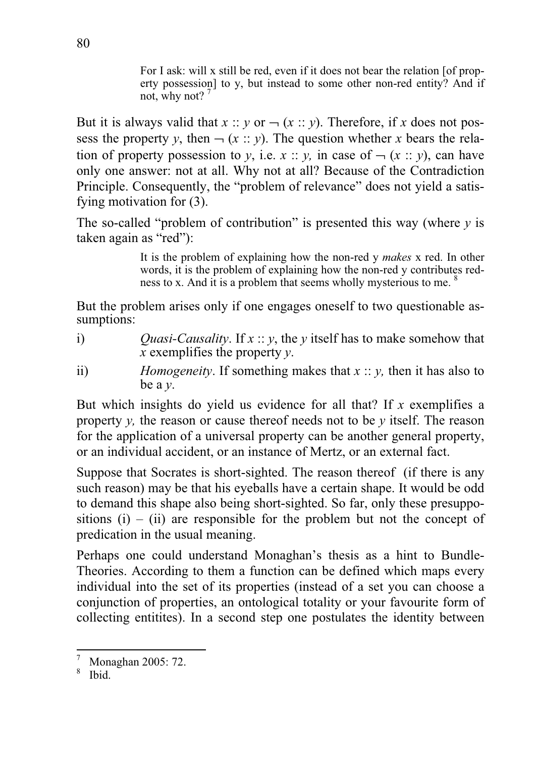For I ask: will x still be red, even if it does not bear the relation [of property possession] to y, but instead to some other non-red entity? And if not, why not?  $\overline{'}$ 

But it is always valid that  $x :: y$  or  $\neg (x :: y)$ . Therefore, if x does not possess the property *y*, then  $\neg$  (*x* :: *y*). The question whether *x* bears the relation of property possession to *y*, i.e. *x* :: *y*, in case of  $\neg$  (*x* :: *y*), can have only one answer: not at all. Why not at all? Because of the Contradiction Principle. Consequently, the "problem of relevance" does not yield a satisfying motivation for (3).

The so-called "problem of contribution" is presented this way (where  $\nu$  is taken again as "red"):

> It is the problem of explaining how the non-red y *makes* x red. In other words, it is the problem of explaining how the non-red y contributes redness to x. And it is a problem that seems wholly mysterious to me. <sup>8</sup>

But the problem arises only if one engages oneself to two questionable assumptions:

- i) *Quasi-Causality*. If *x* :: *y*, the *y* itself has to make somehow that *x* exemplifies the property *y*.
- ii) *Homogeneity*. If something makes that *x* :: *y,* then it has also to be a *y*.

But which insights do yield us evidence for all that? If *x* exemplifies a property *y,* the reason or cause thereof needs not to be *y* itself. The reason for the application of a universal property can be another general property, or an individual accident, or an instance of Mertz, or an external fact.

Suppose that Socrates is short-sighted. The reason thereof (if there is any such reason) may be that his eyeballs have a certain shape. It would be odd to demand this shape also being short-sighted. So far, only these presuppositions  $(i)$  – (ii) are responsible for the problem but not the concept of predication in the usual meaning.

Perhaps one could understand Monaghan's thesis as a hint to Bundle-Theories. According to them a function can be defined which maps every individual into the set of its properties (instead of a set you can choose a conjunction of properties, an ontological totality or your favourite form of collecting entitites). In a second step one postulates the identity between

<sup>7</sup> Monaghan 2005: 72.

<sup>8</sup> Ibid.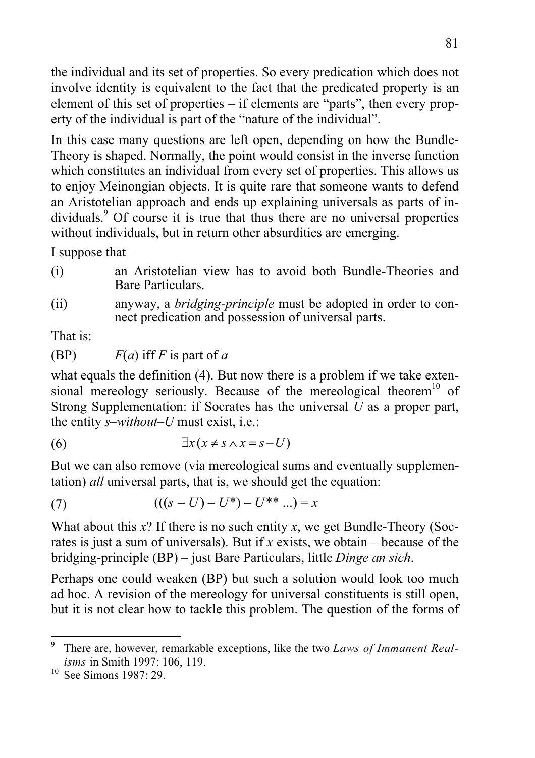the individual and its set of properties. So every predication which does not involve identity is equivalent to the fact that the predicated property is an element of this set of properties – if elements are "parts", then every property of the individual is part of the "nature of the individual".

In this case many questions are left open, depending on how the Bundle-Theory is shaped. Normally, the point would consist in the inverse function which constitutes an individual from every set of properties. This allows us to enjoy Meinongian objects. It is quite rare that someone wants to defend an Aristotelian approach and ends up explaining universals as parts of individuals.<sup>9</sup> Of course it is true that thus there are no universal properties without individuals, but in return other absurdities are emerging.

I suppose that

- (i) an Aristotelian view has to avoid both Bundle-Theories and Bare Particulars.
- (ii) anyway, a *bridging-principle* must be adopted in order to connect predication and possession of universal parts.

That is:

(BP)  $F(a)$  iff *F* is part of *a* 

what equals the definition (4). But now there is a problem if we take extensional mereology seriously. Because of the mereological theorem<sup>10</sup> of Strong Supplementation: if Socrates has the universal *U* as a proper part, the entity *s–without–U* must exist, i.e.:

$$
(6) \qquad \qquad \exists x (x \neq s \land x = s - U)
$$

But we can also remove (via mereological sums and eventually supplementation) *all* universal parts, that is, we should get the equation:

(7) 
$$
(((s-U)-U^*)-U^{**}...)=x
$$

What about this *x*? If there is no such entity *x*, we get Bundle-Theory (Socrates is just a sum of universals). But if *x* exists, we obtain – because of the bridging-principle (BP) – just Bare Particulars, little *Dinge an sich*.

Perhaps one could weaken (BP) but such a solution would look too much ad hoc. A revision of the mereology for universal constituents is still open, but it is not clear how to tackle this problem. The question of the forms of

<sup>9</sup> There are, however, remarkable exceptions, like the two *Laws of Immanent Realisms* in Smith 1997: 106, 119.

<sup>&</sup>lt;sup>10</sup> See Simons 1987: 29.